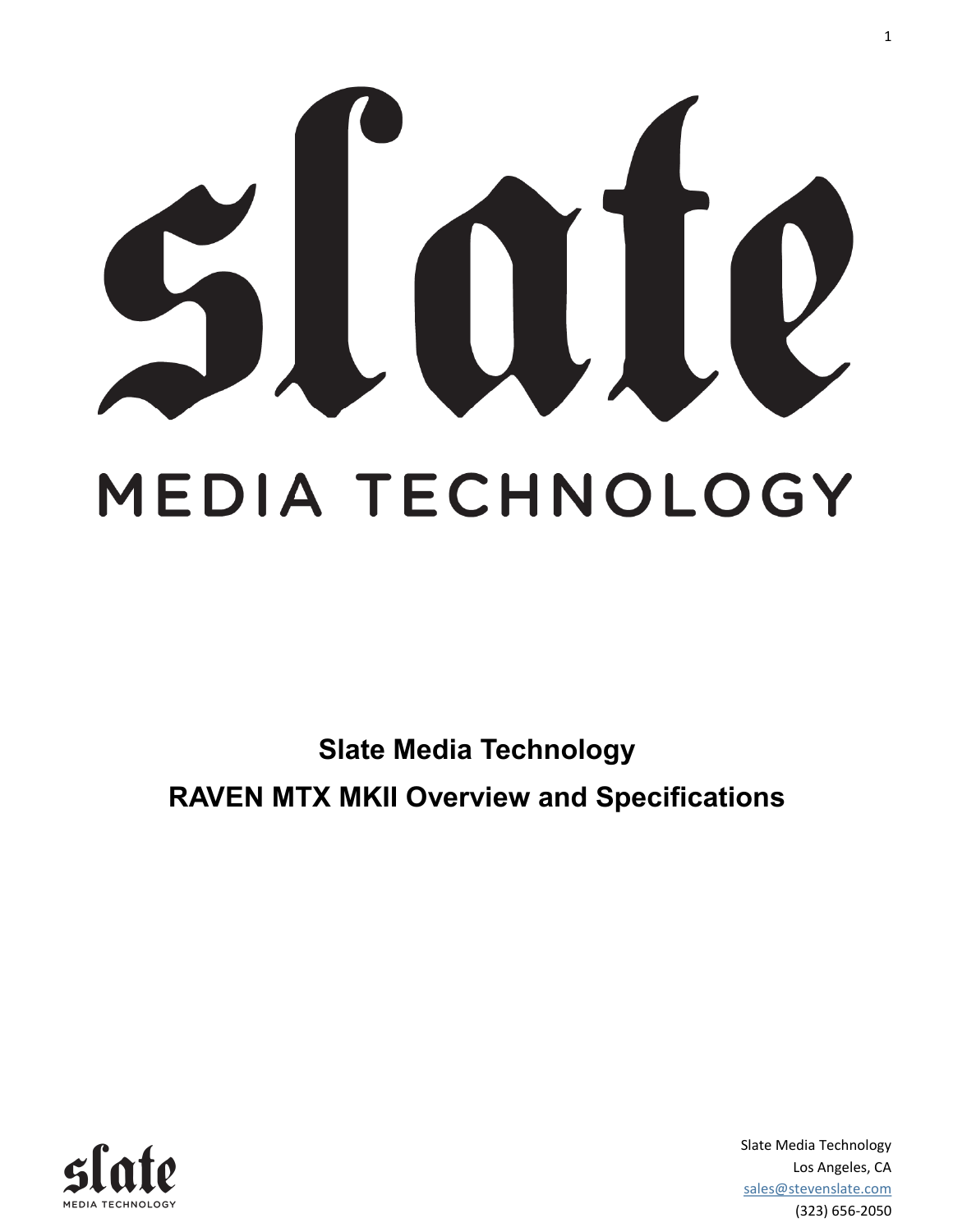

# MEDIA TECHNOLOGY

**Slate Media Technology RAVEN MTX MKII Overview and Specifications**



Slate Media Technology Los Angeles, CA sales@stevenslate.com (323) 656-2050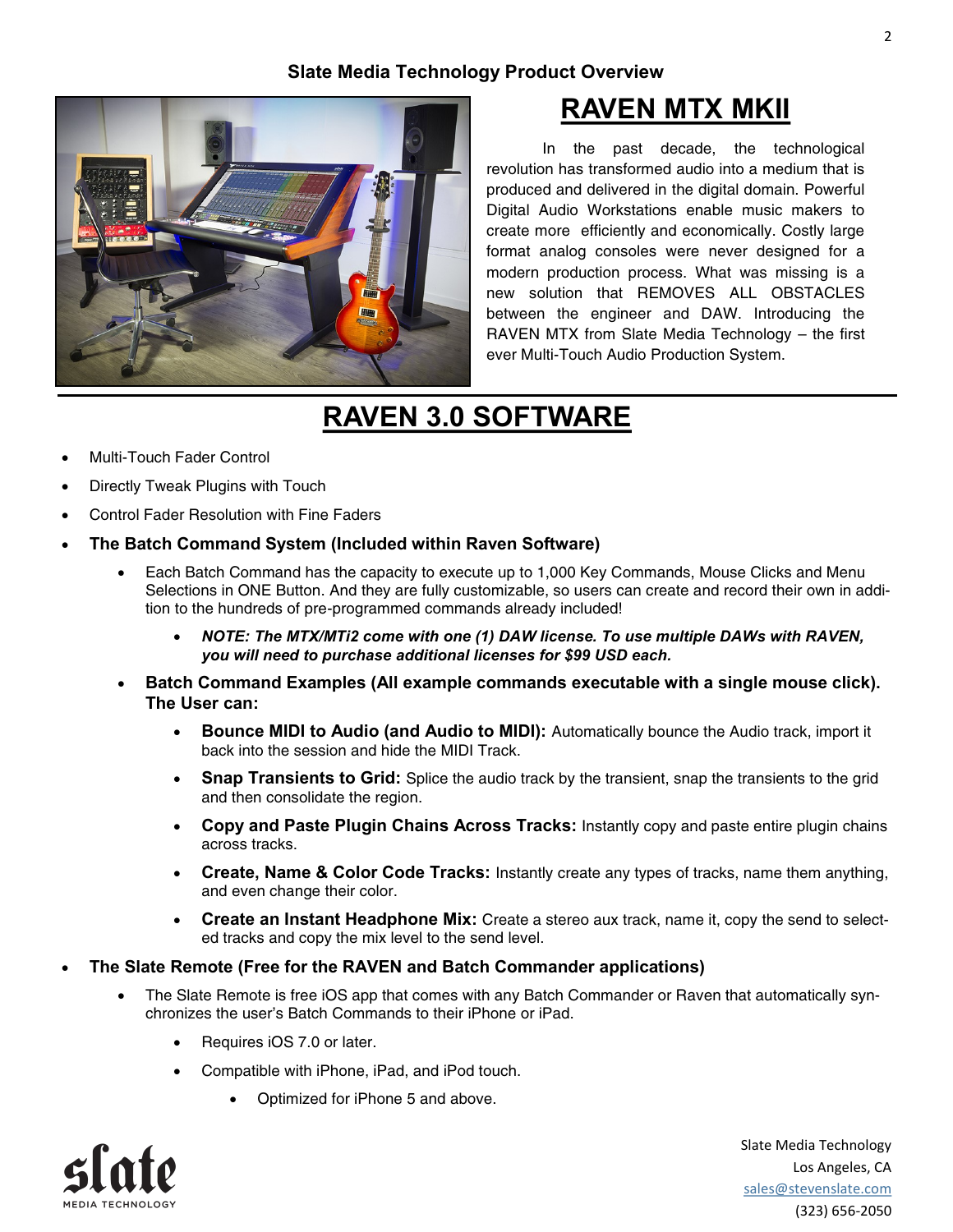#### **Slate Media Technology Product Overview**



### **RAVEN MTX MKII**

In the past decade, the technological revolution has transformed audio into a medium that is produced and delivered in the digital domain. Powerful Digital Audio Workstations enable music makers to create more efficiently and economically. Costly large format analog consoles were never designed for a modern production process. What was missing is a new solution that REMOVES ALL OBSTACLES between the engineer and DAW. Introducing the RAVEN MTX from Slate Media Technology – the first ever Multi-Touch Audio Production System.

# **RAVEN 3.0 SOFTWARE**

- Multi-Touch Fader Control
- Directly Tweak Plugins with Touch
- Control Fader Resolution with Fine Faders
- **The Batch Command System (Included within Raven Software)**
	- Each Batch Command has the capacity to execute up to 1,000 Key Commands, Mouse Clicks and Menu Selections in ONE Button. And they are fully customizable, so users can create and record their own in addition to the hundreds of pre-programmed commands already included!
		- *NOTE: The MTX/MTi2 come with one (1) DAW license. To use multiple DAWs with RAVEN, you will need to purchase additional licenses for \$99 USD each.*
	- **Batch Command Examples (All example commands executable with a single mouse click). The User can:**
		- **Bounce MIDI to Audio (and Audio to MIDI):** Automatically bounce the Audio track, import it back into the session and hide the MIDI Track.
		- Snap Transients to Grid: Splice the audio track by the transient, snap the transients to the grid and then consolidate the region.
		- **Copy and Paste Plugin Chains Across Tracks:** Instantly copy and paste entire plugin chains across tracks.
		- **Create, Name & Color Code Tracks:** Instantly create any types of tracks, name them anything, and even change their color.
		- **Create an Instant Headphone Mix:** Create a stereo aux track, name it, copy the send to selected tracks and copy the mix level to the send level.
- **The Slate Remote (Free for the RAVEN and Batch Commander applications)**
	- The Slate Remote is free iOS app that comes with any Batch Commander or Raven that automatically synchronizes the user's Batch Commands to their iPhone or iPad.
		- Requires iOS 7.0 or later.
		- Compatible with iPhone, iPad, and iPod touch.
			- Optimized for iPhone 5 and above.



Slate Media Technology Los Angeles, CA sales@stevenslate.com (323) 656-2050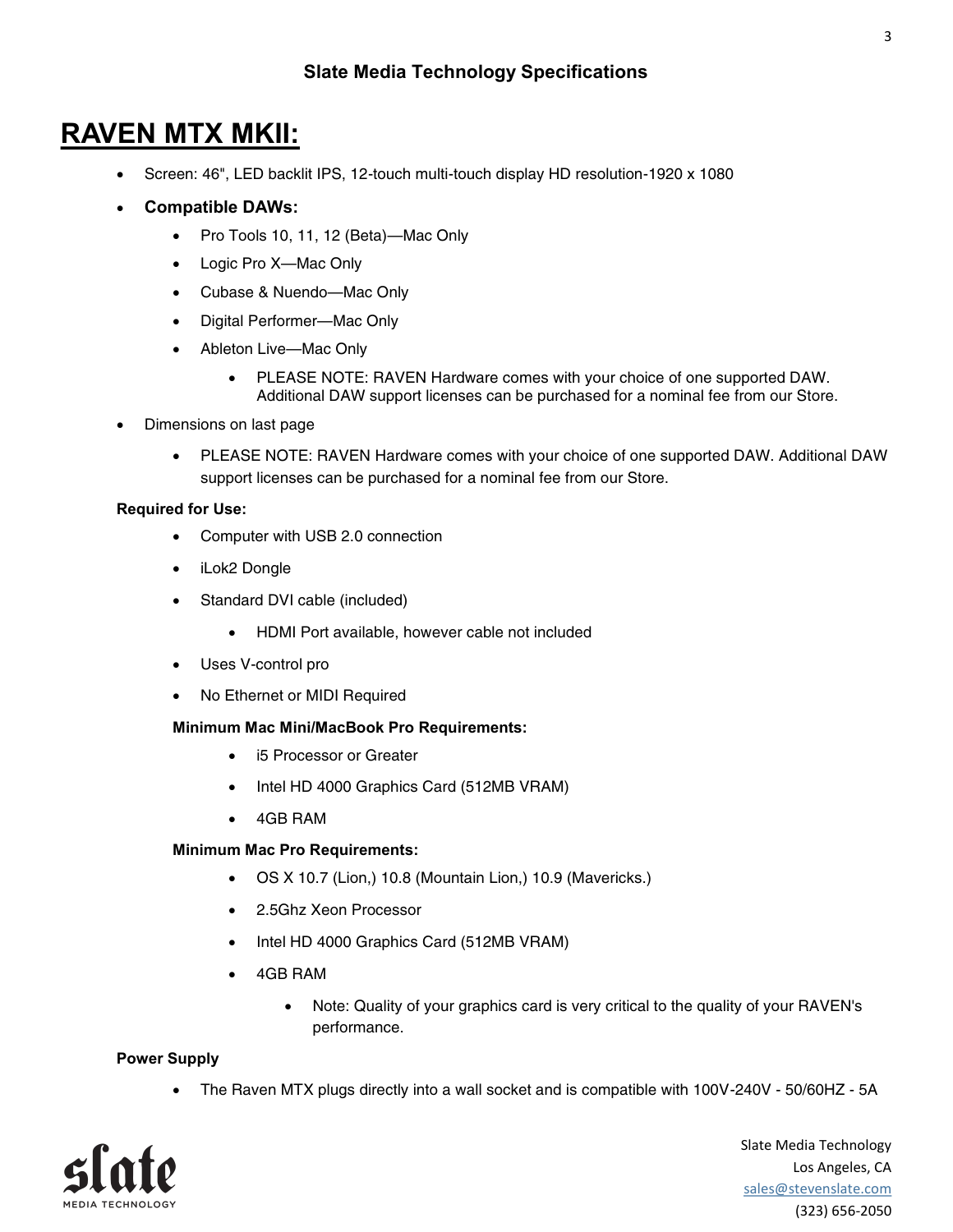# **RAVEN MTX MKII:**

- Screen: 46", LED backlit IPS, 12-touch multi-touch display HD resolution-1920 x 1080
- **Compatible DAWs:**
	- Pro Tools 10, 11, 12 (Beta)—Mac Only
	- Logic Pro X—Mac Only
	- Cubase & Nuendo—Mac Only
	- Digital Performer—Mac Only
	- Ableton Live—Mac Only
		- PLEASE NOTE: RAVEN Hardware comes with your choice of one supported DAW. Additional DAW support licenses can be purchased for a nominal fee from our Store.
- Dimensions on last page
	- PLEASE NOTE: RAVEN Hardware comes with your choice of one supported DAW. Additional DAW support licenses can be purchased for a nominal fee from our Store.

#### **Required for Use:**

- Computer with USB 2.0 connection
- iLok2 Dongle
- Standard DVI cable (included)
	- HDMI Port available, however cable not included
- Uses V-control pro
- No Ethernet or MIDI Required

#### **Minimum Mac Mini/MacBook Pro Requirements:**

- i5 Processor or Greater
- Intel HD 4000 Graphics Card (512MB VRAM)
- 4GB RAM

#### **Minimum Mac Pro Requirements:**

- OS X 10.7 (Lion,) 10.8 (Mountain Lion,) 10.9 (Mavericks.)
- 2.5Ghz Xeon Processor
- Intel HD 4000 Graphics Card (512MB VRAM)
- 4GB RAM
	- Note: Quality of your graphics card is very critical to the quality of your RAVEN's performance.

#### **Power Supply**

The Raven MTX plugs directly into a wall socket and is compatible with 100V-240V - 50/60HZ - 5A

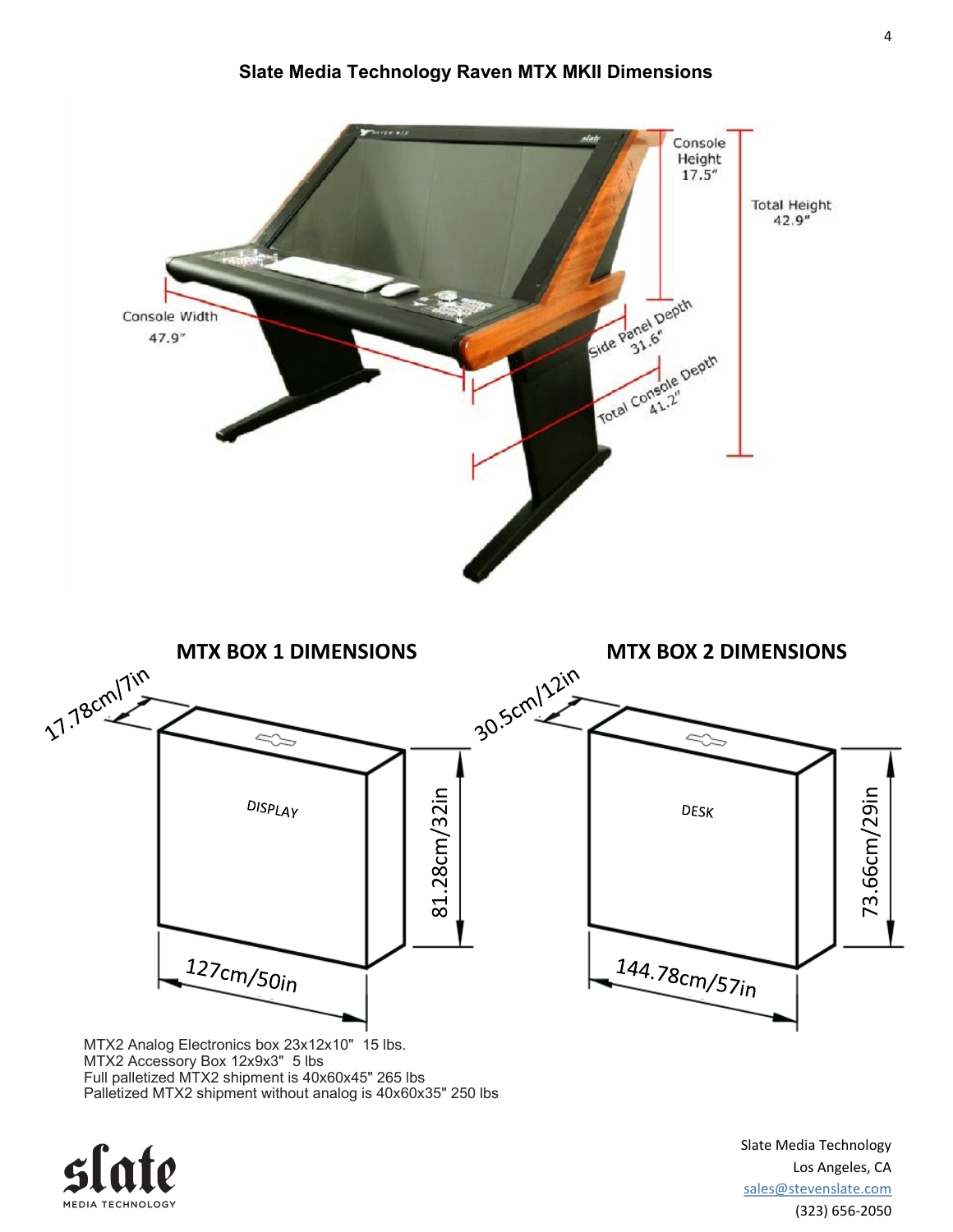

MTX2 Accessory Box 12x9x3" 5 lbs Full palletized MTX2 shipment is 40x60x45" 265 lbs Palletized MTX2 shipment without analog is 40x60x35" 250 lbs



Slate Media Technology Los Angeles, CA sales@stevenslate.com (323) 656-2050

#### **Slate Media Technology Raven MTX MKII Dimensions**